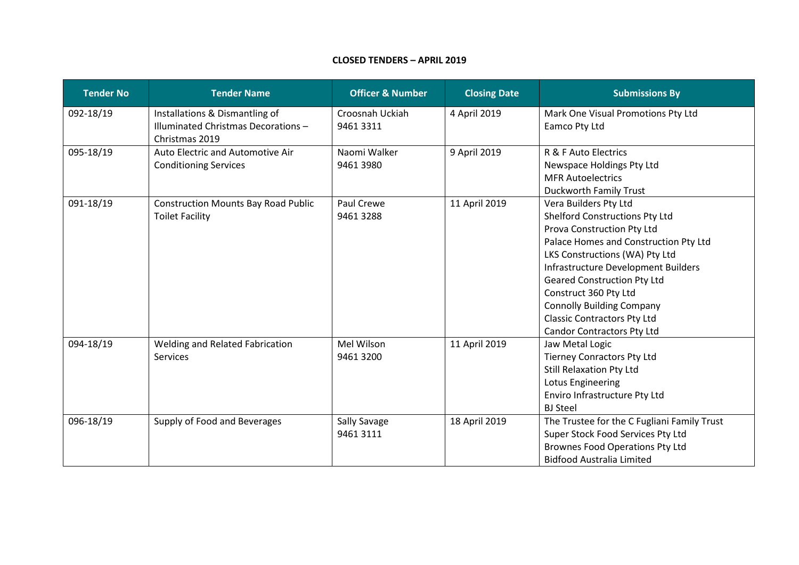## **CLOSED TENDERS – APRIL 2019**

| <b>Tender No</b> | <b>Tender Name</b>                                                                     | <b>Officer &amp; Number</b> | <b>Closing Date</b> | <b>Submissions By</b>                                                                                                                                                                                                                                                                                                                                                                 |
|------------------|----------------------------------------------------------------------------------------|-----------------------------|---------------------|---------------------------------------------------------------------------------------------------------------------------------------------------------------------------------------------------------------------------------------------------------------------------------------------------------------------------------------------------------------------------------------|
| 092-18/19        | Installations & Dismantling of<br>Illuminated Christmas Decorations-<br>Christmas 2019 | Croosnah Uckiah<br>94613311 | 4 April 2019        | Mark One Visual Promotions Pty Ltd<br>Eamco Pty Ltd                                                                                                                                                                                                                                                                                                                                   |
| 095-18/19        | Auto Electric and Automotive Air<br><b>Conditioning Services</b>                       | Naomi Walker<br>9461 3980   | 9 April 2019        | R & F Auto Electrics<br>Newspace Holdings Pty Ltd<br><b>MFR Autoelectrics</b><br><b>Duckworth Family Trust</b>                                                                                                                                                                                                                                                                        |
| 091-18/19        | <b>Construction Mounts Bay Road Public</b><br><b>Toilet Facility</b>                   | Paul Crewe<br>94613288      | 11 April 2019       | Vera Builders Pty Ltd<br>Shelford Constructions Pty Ltd<br>Prova Construction Pty Ltd<br>Palace Homes and Construction Pty Ltd<br>LKS Constructions (WA) Pty Ltd<br>Infrastructure Development Builders<br><b>Geared Construction Pty Ltd</b><br>Construct 360 Pty Ltd<br><b>Connolly Building Company</b><br><b>Classic Contractors Pty Ltd</b><br><b>Candor Contractors Pty Ltd</b> |
| 094-18/19        | Welding and Related Fabrication<br><b>Services</b>                                     | Mel Wilson<br>9461 3200     | 11 April 2019       | Jaw Metal Logic<br><b>Tierney Conractors Pty Ltd</b><br><b>Still Relaxation Pty Ltd</b><br>Lotus Engineering<br>Enviro Infrastructure Pty Ltd<br><b>BJ</b> Steel                                                                                                                                                                                                                      |
| 096-18/19        | Supply of Food and Beverages                                                           | Sally Savage<br>94613111    | 18 April 2019       | The Trustee for the C Fugliani Family Trust<br>Super Stock Food Services Pty Ltd<br><b>Brownes Food Operations Pty Ltd</b><br><b>Bidfood Australia Limited</b>                                                                                                                                                                                                                        |